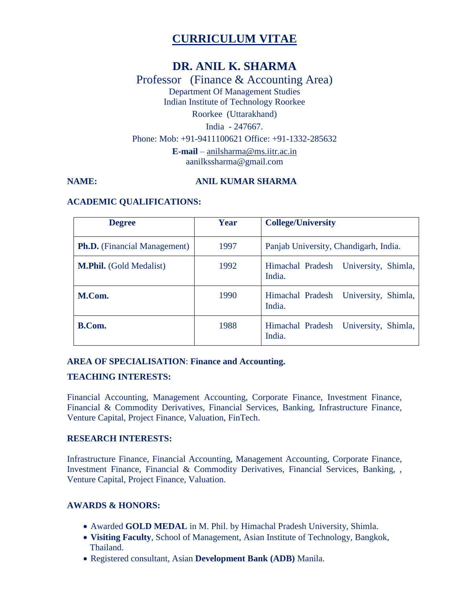# **CURRICULUM VITAE**

# **DR. ANIL K. SHARMA**

Professor (Finance & Accounting Area) Department Of Management Studies Indian Institute of Technology Roorkee Roorkee (Uttarakhand) India - 247667. Phone: Mob: +91-9411100621 Office: +91-1332-285632 **E-mail** – [anilsharma@ms.iitr.ac.in](mailto:anilsharma@ms.iitr.ac.in) aanilkssharma@gmail.com

#### **NAME:** ANIL KUMAR SHARMA

#### **ACADEMIC QUALIFICATIONS:**

| <b>Degree</b>                       | Year | <b>College/University</b>                         |  |
|-------------------------------------|------|---------------------------------------------------|--|
| <b>Ph.D.</b> (Financial Management) | 1997 | Panjab University, Chandigarh, India.             |  |
| <b>M.Phil.</b> (Gold Medalist)      | 1992 | Himachal Pradesh University, Shimla,<br>India.    |  |
| M.Com.                              | 1990 | Himachal Pradesh University, Shimla,<br>India.    |  |
| B.Com.                              | 1988 | University, Shimla,<br>Himachal Pradesh<br>India. |  |

# **AREA OF SPECIALISATION**: **Finance and Accounting.**

#### **TEACHING INTERESTS:**

Financial Accounting, Management Accounting, Corporate Finance, Investment Finance, Financial & Commodity Derivatives, Financial Services, Banking, Infrastructure Finance, Venture Capital, Project Finance, Valuation, FinTech.

#### **RESEARCH INTERESTS:**

Infrastructure Finance, Financial Accounting, Management Accounting, Corporate Finance, Investment Finance, Financial & Commodity Derivatives, Financial Services, Banking, , Venture Capital, Project Finance, Valuation.

# **AWARDS & HONORS:**

- Awarded **GOLD MEDAL** in M. Phil. by Himachal Pradesh University, Shimla.
- **Visiting Faculty**, School of Management, Asian Institute of Technology, Bangkok, Thailand.
- Registered consultant, Asian **Development Bank (ADB)** Manila.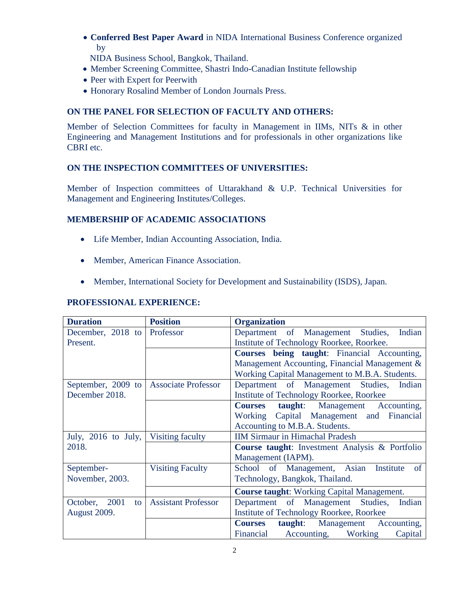**Conferred Best Paper Award** in NIDA International Business Conference organized by

NIDA Business School, Bangkok, Thailand.

- Member Screening Committee, Shastri Indo-Canadian Institute fellowship
- Peer with Expert for Peerwith
- Honorary Rosalind Member of London Journals Press.

# **ON THE PANEL FOR SELECTION OF FACULTY AND OTHERS:**

Member of Selection Committees for faculty in Management in IIMs, NITs & in other Engineering and Management Institutions and for professionals in other organizations like CBRI etc.

# **ON THE INSPECTION COMMITTEES OF UNIVERSITIES:**

Member of Inspection committees of Uttarakhand & U.P. Technical Universities for Management and Engineering Institutes/Colleges.

# **MEMBERSHIP OF ACADEMIC ASSOCIATIONS**

- Life Member, Indian Accounting Association, India.
- Member, American Finance Association.
- Member, International Society for Development and Sustainability (ISDS), Japan.

# **PROFESSIONAL EXPERIENCE:**

| <b>Duration</b>        | <b>Position</b>            | <b>Organization</b>                               |  |  |
|------------------------|----------------------------|---------------------------------------------------|--|--|
| December, 2018 to      | Professor                  | Department of Management Studies,<br>Indian       |  |  |
| Present.               |                            | Institute of Technology Roorkee, Roorkee.         |  |  |
|                        |                            | Courses being taught: Financial Accounting,       |  |  |
|                        |                            | Management Accounting, Financial Management &     |  |  |
|                        |                            | Working Capital Management to M.B.A. Students.    |  |  |
| September, 2009 to     | <b>Associate Professor</b> | Department of Management Studies,<br>Indian       |  |  |
| December 2018.         |                            | <b>Institute of Technology Roorkee, Roorkee</b>   |  |  |
|                        |                            | taught: Management Accounting,<br><b>Courses</b>  |  |  |
|                        |                            | Working Capital Management and Financial          |  |  |
|                        |                            | Accounting to M.B.A. Students.                    |  |  |
| July, 2016 to July,    | Visiting faculty           | <b>IIM Sirmaur in Himachal Pradesh</b>            |  |  |
| 2018.                  |                            | Course taught: Investment Analysis & Portfolio    |  |  |
|                        |                            | Management (IAPM).                                |  |  |
| September-             | <b>Visiting Faculty</b>    | School of Management, Asian<br>Institute<br>of    |  |  |
| November, 2003.        |                            | Technology, Bangkok, Thailand.                    |  |  |
|                        |                            | <b>Course taught:</b> Working Capital Management. |  |  |
| October,<br>2001<br>to | <b>Assistant Professor</b> | Department of Management Studies,<br>Indian       |  |  |
| August 2009.           |                            | <b>Institute of Technology Roorkee, Roorkee</b>   |  |  |
|                        |                            | taught: Management Accounting,<br><b>Courses</b>  |  |  |
|                        |                            | Financial<br>Accounting, Working<br>Capital       |  |  |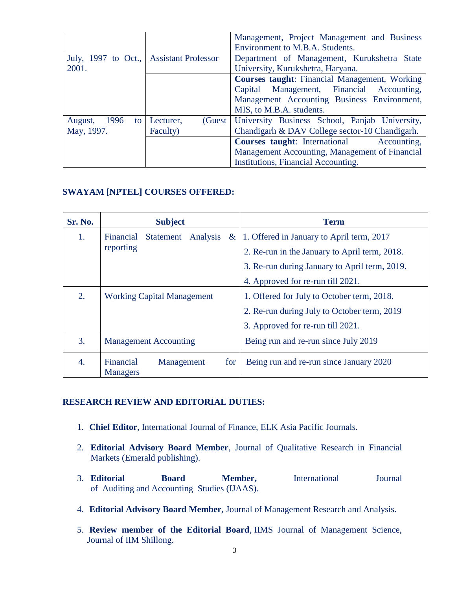|                                         |                     | Management, Project Management and Business<br>Environment to M.B.A. Students. |  |
|-----------------------------------------|---------------------|--------------------------------------------------------------------------------|--|
| July, 1997 to Oct., Assistant Professor |                     | Department of Management, Kurukshetra State                                    |  |
| 2001.                                   |                     | University, Kurukshetra, Haryana.                                              |  |
|                                         |                     | <b>Courses taught:</b> Financial Management, Working                           |  |
|                                         |                     | Capital Management, Financial Accounting,                                      |  |
|                                         |                     | Management Accounting Business Environment,                                    |  |
|                                         |                     | MIS, to M.B.A. students.                                                       |  |
| 1996<br>August,<br>to.                  | Lecturer,<br>(Guest | University Business School, Panjab University,                                 |  |
| May, 1997.                              | Faculty)            | Chandigarh & DAV College sector-10 Chandigarh.                                 |  |
|                                         |                     | <b>Courses taught:</b> International Accounting,                               |  |
|                                         |                     | Management Accounting, Management of Financial                                 |  |
|                                         |                     | Institutions, Financial Accounting.                                            |  |

# **SWAYAM [NPTEL] COURSES OFFERED:**

| Sr. No. | <b>Subject</b>                                    | <b>Term</b>                                   |
|---------|---------------------------------------------------|-----------------------------------------------|
| 1.      | Financial<br>Statement Analysis<br>$\alpha$       | 1. Offered in January to April term, 2017     |
|         | reporting                                         | 2. Re-run in the January to April term, 2018. |
|         |                                                   | 3. Re-run during January to April term, 2019. |
|         |                                                   | 4. Approved for re-run till 2021.             |
| 2.      | <b>Working Capital Management</b>                 | 1. Offered for July to October term, 2018.    |
|         |                                                   | 2. Re-run during July to October term, 2019   |
|         |                                                   | 3. Approved for re-run till 2021.             |
| 3.      | <b>Management Accounting</b>                      | Being run and re-run since July 2019          |
| 4.      | Financial<br>Management<br>for<br><b>Managers</b> | Being run and re-run since January 2020       |

#### **RESEARCH REVIEW AND EDITORIAL DUTIES:**

- 1. **Chief Editor**, International Journal of Finance, ELK Asia Pacific Journals.
- 2. **Editorial Advisory Board Member**, Journal of Qualitative Research in Financial Markets (Emerald publishing).
- 3. **Editorial Board Member,** International Journal of Auditing and Accounting Studies (IJAAS).
- 4. **Editorial Advisory Board Member,** Journal of Management Research and Analysis.
- 5. **Review member of the Editorial Board**, IIMS Journal of Management Science, Journal of IIM Shillong.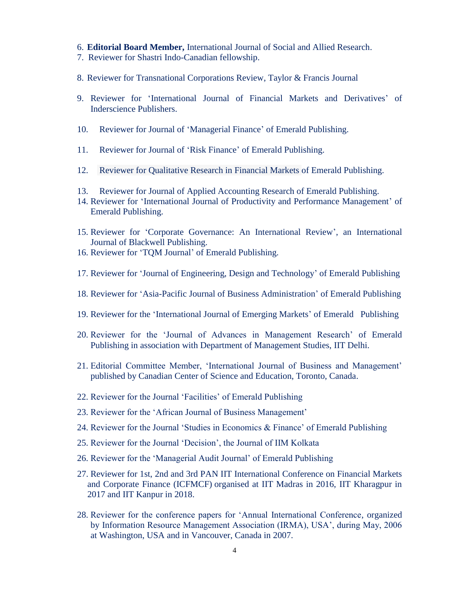#### 6. **Editorial Board Member,** International Journal of Social and Allied Research.

- 7. Reviewer for Shastri Indo-Canadian fellowship.
- 8. Reviewer for Transnational Corporations Review, Taylor & Francis Journal
- 9. Reviewer for 'International Journal of Financial Markets and Derivatives' of Inderscience Publishers.
- 10. Reviewer for Journal of 'Managerial Finance' of Emerald Publishing.
- 11. Reviewer for Journal of 'Risk Finance' of Emerald Publishing.
- 12. Reviewer for Qualitative Research in Financial Markets of Emerald Publishing.
- 13. Reviewer for Journal of Applied Accounting Research of Emerald Publishing.
- 14. Reviewer for 'International Journal of Productivity and Performance Management' of Emerald Publishing.
- 15. Reviewer for 'Corporate Governance: An International Review', an International Journal of Blackwell Publishing.
- 16. Reviewer for 'TQM Journal' of Emerald Publishing.
- 17. Reviewer for 'Journal of Engineering, Design and Technology' of Emerald Publishing
- 18. Reviewer for 'Asia-Pacific Journal of Business Administration' of Emerald Publishing
- 19. Reviewer for the 'International Journal of Emerging Markets' of Emerald Publishing
- 20. Reviewer for the 'Journal of Advances in Management Research' of Emerald Publishing in association with Department of Management Studies, IIT Delhi.
- 21. Editorial Committee Member, 'International Journal of Business and Management' published by Canadian Center of Science and Education, Toronto, Canada.
- 22. Reviewer for the Journal 'Facilities' of Emerald Publishing
- 23. Reviewer for the 'African Journal of Business Management'
- 24. Reviewer for the Journal 'Studies in Economics & Finance' of Emerald Publishing
- 25. Reviewer for the Journal 'Decision', the Journal of IIM Kolkata
- 26. Reviewer for the 'Managerial Audit Journal' of Emerald Publishing
- 27. Reviewer for 1st, 2nd and 3rd PAN IIT International Conference on Financial Markets and Corporate Finance (ICFMCF) organised at IIT Madras in 2016, IIT Kharagpur in 2017 and IIT Kanpur in 2018.
- 28. Reviewer for the conference papers for 'Annual International Conference, organized by Information Resource Management Association (IRMA), USA', during May, 2006 at Washington, USA and in Vancouver, Canada in 2007.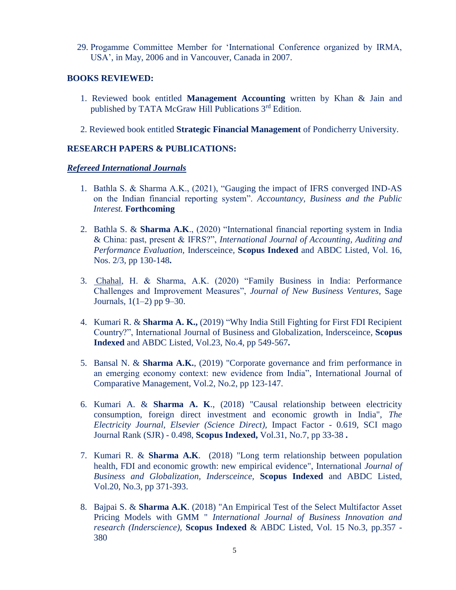29. Progamme Committee Member for 'International Conference organized by IRMA, USA', in May, 2006 and in Vancouver, Canada in 2007.

#### **BOOKS REVIEWED:**

- 1. Reviewed book entitled **Management Accounting** written by Khan & Jain and published by TATA McGraw Hill Publications 3rd Edition.
- 2. Reviewed book entitled **Strategic Financial Management** of Pondicherry University.

### **RESEARCH PAPERS & PUBLICATIONS:**

#### *Refereed International Journals*

- 1. Bathla S. & Sharma A.K., (2021), "Gauging the impact of IFRS converged IND-AS on the Indian financial reporting system". *Accountancy, Business and the Public Interest.* **Forthcoming**
- 2. Bathla S. & **Sharma A.K**., (2020) "International financial reporting system in India & China: past, present & IFRS?", *International Journal of Accounting, Auditing and Performance Evaluation,* Indersceince*,* **Scopus Indexed** and ABDC Listed, Vol. 16, Nos. 2/3, pp 130-148**.**
- 3. [Chahal,](https://journals.sagepub.com/doi/full/10.1177/2632962X20960824) H. & Sharma, A.K. (2020) "Family Business in India: Performance Challenges and Improvement Measures", *Journal of New Business Ventures*, Sage Journals,  $1(1-2)$  pp  $9-30$ .
- 4. Kumari R. & **Sharma A. K.,** (2019) "Why India Still Fighting for First FDI Recipient Country?", International Journal of Business and Globalization, Indersceince*,* **Scopus Indexed** and ABDC Listed, Vol.23, No.4, pp 549-567**.**
- 5. Bansal N. & **Sharma A.K.**, (2019) "Corporate governance and frim performance in an emerging economy context: new evidence from India", International Journal of Comparative Management, Vol.2, No.2, pp 123-147.
- 6. Kumari A. & **Sharma A. K**., (2018) "Causal relationship between electricity consumption, foreign direct investment and economic growth in India", *The Electricity Journal, Elsevier (Science Direct),* Impact Factor - 0.619, SCI mago Journal Rank (SJR) - 0.498, **Scopus Indexed,** [Vol.31, No.7](http://www.inderscience.com/info/inarticletoc.php?jcode=ijbg&year=2018&vol=20&issue=3), pp 33-38 **.**
- 7. Kumari R. & **Sharma A.K**. (2018) "Long term relationship between population health, FDI and economic growth: new empirical evidence", International *Journal of Business and Globalization, Indersceince,* **Scopus Indexed** and ABDC Listed, [Vol.20, No.3,](http://www.inderscience.com/info/inarticletoc.php?jcode=ijbg&year=2018&vol=20&issue=3) pp 371-393.
- 8. Bajpai S. & **Sharma A.K**. (2018) "An Empirical Test of the Select Multifactor Asset Pricing Models with GMM " *International Journal of Business Innovation and research (Inderscience),* **Scopus Indexed** & ABDC Listed, Vol. 15 No.3, pp.357 - 380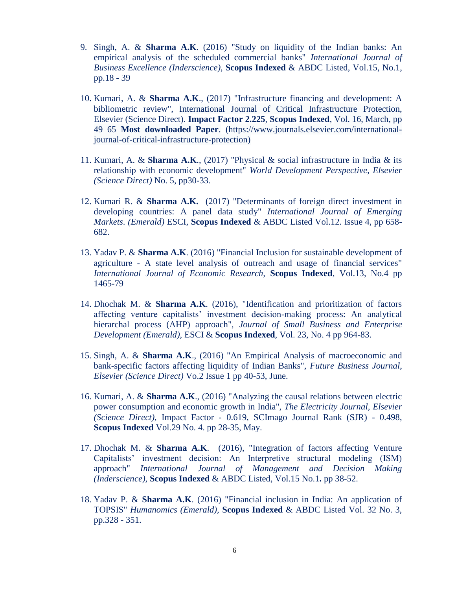- 9. Singh, A. & **Sharma A.K**. (2016) "Study on liquidity of the Indian banks: An empirical analysis of the scheduled commercial banks" *International Journal of Business Excellence (Inderscience)*, **Scopus Indexed** & ABDC Listed, Vol.15, No.1, pp.18 - 39
- 10. Kumari, A. & **Sharma A.K**., (2017) "Infrastructure financing and development: A bibliometric review", International Journal of Critical [Infrastructure](http://www.sciencedirect.com/science/journal/18745482) Protection, Elsevier (Science Direct). **Impact Factor 2.225**, **Scopus Indexed**, [Vol.](http://www.sciencedirect.com/science/journal/18745482/16/supp/C) 16, March, pp 49–65 **Most downloaded Paper**. (https://www.journals.elsevier.com/internationaljournal-of-critical-infrastructure-protection)
- 11. Kumari, A. & **Sharma A.K**., (2017) "Physical & social infrastructure in India & its relationship with economic development" *World Development Perspective*, *Elsevier (Science Direct)* No. 5, pp30-33*.*
- 12. Kumari R. & **Sharma A.K.** (2017) "Determinants of foreign direct investment in developing countries: A panel data study" *International Journal of Emerging Markets*. *(Emerald)* ESCI, **Scopus Indexed** & ABDC Listed Vol.12. Issue 4, pp 658- 682.
- 13. Yadav P. & **Sharma A.K**. (2016) "Financial Inclusion for sustainable development of agriculture - A state level analysis of outreach and usage of financial services" *International Journal of Economic Research,* **Scopus Indexed**, Vol.13, No.4 pp 1465-79
- 14. Dhochak M. & **Sharma A.K**. (2016), "Identification and prioritization of factors affecting venture capitalists' investment decision-making process: An analytical hierarchal process (AHP) approach", *Journal of Small Business and Enterprise Development (Emerald),* ESCI & **Scopus Indexed**, Vol. 23, No. 4 pp 964-83.
- 15. Singh, A. & **Sharma A.K**., (2016) "An Empirical Analysis of macroeconomic and bank-specific factors affecting liquidity of Indian Banks", *Future Business Journal*, *Elsevier (Science Direct)* Vo.2 Issue 1 pp 40-53, June.
- 16. Kumari, A. & **Sharma A.K**., (2016) "Analyzing the causal relations between electric power consumption and economic growth in India", *The Electricity Journal, Elsevier (Science Direct),* Impact Factor - 0.619, SCImago Journal Rank (SJR) - 0.498, **Scopus Indexed** Vol.29 No. 4. pp 28-35, May.
- 17. Dhochak M. & **Sharma A.K**. (2016), "Integration of factors affecting Venture Capitalists' investment decision: An Interpretive structural modeling (ISM) approach" *International Journal of Management and Decision Making (Inderscience),* **Scopus Indexed** & ABDC Listed, Vol.15 No.1**.** pp 38-52.
- 18. Yadav P. & **Sharma A.K**. (2016) "Financial inclusion in India: An application of TOPSIS" *Humanomics (Emerald),* **Scopus Indexed** & ABDC Listed Vol. 32 No. 3, pp.328 - 351.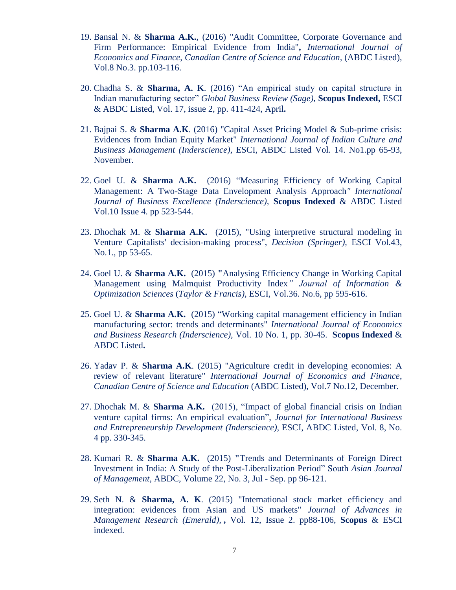- 19. Bansal N. & **Sharma A.K.**, (2016) "Audit Committee, Corporate Governance and Firm Performance: Empirical Evidence from India"**,** *International Journal of Economics and Finance*, *Canadian Centre of Science and Education,* (ABDC Listed), Vol.8 No.3. pp.103-116.
- 20. Chadha S. & **Sharma, A. K**. (2016) "An empirical study on capital structure in Indian manufacturing sector" *Global Business Review (Sage),* **Scopus Indexed,** ESCI & ABDC Listed, Vol. 17, issue 2, pp. 411-424, April**.**
- 21. Bajpai S. & **Sharma A.K**. (2016) "Capital Asset Pricing Model & Sub-prime crisis: Evidences from Indian Equity Market" *International Journal of Indian Culture and Business Management (Inderscience),* ESCI, ABDC Listed Vol. 14. No1.pp 65-93, November.
- 22. Goel U. & **Sharma A.K.** (2016) "Measuring Efficiency of Working Capital Management: A Two-Stage Data Envelopment Analysis Approach*" International Journal of Business Excellence (Inderscience),* **Scopus Indexed** & ABDC Listed Vol.10 Issue 4. pp 523-544.
- 23. Dhochak M. & **Sharma A.K.** (2015), "Using interpretive structural modeling in Venture Capitalists' decision-making process", *Decision (Springer),* ESCI Vol.43, No.1., pp 53-65.
- 24. Goel U. & **Sharma A.K.** (2015) **"**Analysing Efficiency Change in Working Capital Management using Malmquist Productivity Index*" Journal of Information & Optimization Sciences* (*Taylor & Francis),* ESCI, Vol.36. No.6, pp 595-616.
- 25. Goel U. & **Sharma A.K.** (2015) "Working capital management efficiency in Indian manufacturing sector: trends and determinants" *International Journal of Economics and Business Research (Inderscience),* Vol. 10 No. 1, pp. 30-45. **Scopus Indexed** & ABDC Listed**.**
- 26. Yadav P. & **Sharma A.K**. (2015) "Agriculture credit in developing economies: A review of relevant literature" *International Journal of Economics and Finance*, *Canadian Centre of Science and Education* (ABDC Listed), Vol.7 No.12, December.
- 27. Dhochak M. & **Sharma A.K.** (2015), "Impact of global financial crisis on Indian venture capital firms: An empirical evaluation", *Journal for International Business and Entrepreneurship Development (Inderscience),* ESCI, ABDC Listed, Vol. 8, No. 4 pp. 330-345.
- 28. Kumari R. & **Sharma A.K.** (2015) **"**Trends and Determinants of Foreign Direct Investment in India: A Study of the Post-Liberalization Period" South *Asian Journal of Management,* ABDC, Volume 22, No. 3, Jul - Sep. pp 96-121.
- 29. Seth N. & **Sharma, A. K**. (2015) "International stock market efficiency and integration: evidences from Asian and US markets" *Journal of Advances in Management Research (Emerald),* **,** Vol. 12, Issue 2. pp88-106, **Scopus** & ESCI indexed.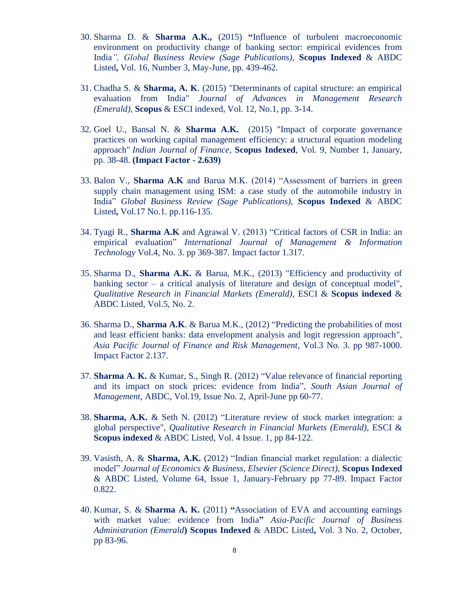- 30. Sharma D. & **Sharma A.K.,** (2015) **"**Influence of turbulent macroeconomic environment on productivity change of banking sector: empirical evidences from India*", Global Business Review (Sage Publications),* **Scopus Indexed** & ABDC Listed**,** Vol. 16, Number 3, May-June, pp. 439-462.
- 31. Chadha S. & **Sharma, A. K**. (2015) "Determinants of capital structure: an empirical evaluation from India" *Journal of Advances in Management Research (Emerald),* **Scopus** & ESCI indexed, Vol. 12, No.1, pp. 3-14.
- 32. Goel U., Bansal N. & **Sharma A.K.** (2015) "Impact of corporate governance practices on working capital management efficiency: a structural equation modeling approach" *Indian Journal of Finance,* **Scopus Indexed**, Vol. 9, Number 1, January, pp. 38-48. **(Impact Factor - 2.639)**
- 33. Balon V., **Sharma A.K** and Barua M.K. (2014) "Assessment of barriers in green supply chain management using ISM: a case study of the automobile industry in India" *Global Business Review (Sage Publications),* **Scopus Indexed** & ABDC Listed**,** Vol.17 No.1. pp.116-135.
- 34. Tyagi R., **Sharma A.K** and Agrawal V. (2013) "Critical factors of CSR in India: an empirical evaluation" *International Journal of Management & Information Technology* Vol.4, No. 3. pp 369-387. [Impact factor 1.317.](http://cirworld.org/if)
- 35. Sharma D., **Sharma A.K.** & Barua, M.K., (2013) "Efficiency and productivity of banking sector – a critical analysis of literature and design of conceptual model", *Qualitative Research in Financial Markets (Emerald),* ESCI & **Scopus indexed** & ABDC Listed, Vol.5, No. 2.
- 36. Sharma D., **Sharma A.K**. & Barua M.K., (2012) "Predicting the probabilities of most and least efficient banks: data envelopment analysis and logit regression approach", *Asia Pacific Journal of Finance and Risk Management*, Vol.3 No. 3. pp 987-1000. Impact Factor 2.137.
- 37. **Sharma A. K.** & Kumar, S., Singh R. (2012) "Value relevance of financial reporting and its impact on stock prices: evidence from India", *South Asian Journal of Management*, ABDC, Vol.19, Issue No. 2, April-June pp 60-77.
- 38. **Sharma, A.K.** & Seth N. (2012) "Literature review of stock market integration: a global perspective", *Qualitative Research in Financial Markets (Emerald),* ESCI & **Scopus indexed** & ABDC Listed*,* Vol. 4 Issue. 1, pp 84-122.
- 39. Vasisth, A. & **Sharma, A.K.** (2012) "Indian financial market regulation: a dialectic model" *Journal of Economics & Business, Elsevier (Science Direct),* **Scopus Indexed** & ABDC Listed, Volume 64, Issue 1, January-February pp 77-89. Impact Factor 0.822.
- 40. Kumar, S. & **Sharma A. K.** (2011) **"**Association of EVA and accounting earnings with market value: evidence from India**"** *Asia-Pacific Journal of Business Administration (Emerald***) Scopus Indexed** & ABDC Listed**,** Vol. 3 No. 2, October, pp 83-96.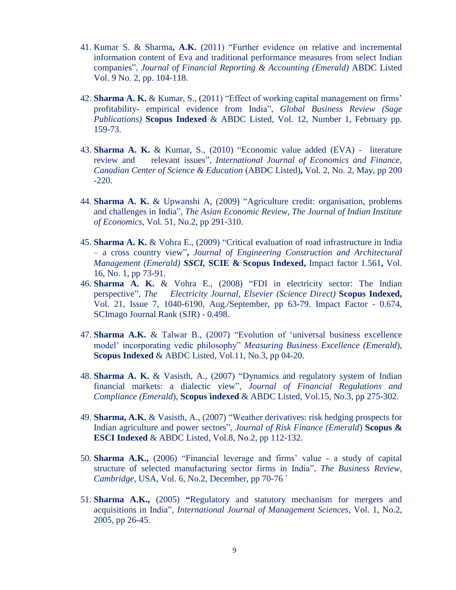- 41. Kumar S. & Sharma**, A.K.** (2011) "Further evidence on relative and incremental information content of Eva and traditional performance measures from select Indian companies", *Journal of Financial Reporting & Accounting (Emerald)* ABDC Listed Vol. 9 No. 2, pp. 104-118.
- 42. **Sharma A. K.** & Kumar, S., (2011) "Effect of working capital management on firms' profitability- empirical evidence from India", *Global Business Review (Sage Publications)* **Scopus Indexed** & ABDC Listed*,* Vol. 12, Number 1, February pp. 159-73.
- 43. **Sharma A. K.** & Kumar, S., (2010) "Economic value added (EVA) literature review and relevant issues", *International Journal of Economics and Finance, Canadian Center of Science & Education* (ABDC Listed)**,** Vol. 2, No. 2, May, pp 200 -220.
- 44. **Sharma A. K.** & Upwanshi A, (2009) "Agriculture credit: organisation, problems and challenges in India", *The Asian Economic Review, The Journal of Indian Institute of Economics*, Vol. 51, No.2, pp 291-310.
- 45. **Sharma A. K.** & Vohra E., (2009) "Critical evaluation of road infrastructure in India – a cross country view"**,** *Journal of Engineering Construction and Architectural Management (Emerald) SSCI,* **SCIE & Scopus Indexed,** Impact factor 1.561**,** Vol. 16, No. 1, pp 73-91.
- 46. **Sharma A. K.** & Vohra E., (2008) "FDI in electricity sector: The Indian perspective", *The Electricity Journal, Elsevier (Science Direct)* **Scopus Indexed,** Vol. 21, Issue 7, 1040-6190, Aug./September, pp 63-79. Impact Factor - 0.674, SCImago Journal Rank (SJR) - 0.498.
- 47. **Sharma A.K.** & Talwar B., (2007) "Evolution of 'universal business excellence model' incorporating vedic philosophy" *Measuring Business Excellence (Emerald*), **Scopus Indexed** & ABDC Listed, Vol.11, No.3, pp 04-20.
- 48. **Sharma A. K.** & Vasisth, A., (2007) "Dynamics and regulatory system of Indian financial markets: a dialectic view", *Journal of Financial Regulations and Compliance (Emerald*), **Scopus indexed** & ABDC Listed, Vol.15, No.3, pp 275-302.
- 49. **Sharma, A.K.** & Vasisth, A., (2007) "Weather derivatives: risk hedging prospects for Indian agriculture and power sectors", *Journal of Risk Finance (Emerald*) **Scopus & ESCI Indexed** & ABDC Listed, Vol.8, No.2, pp 112-132.
- 50. **Sharma A.K.,** (2006) "Financial leverage and firms' value a study of capital structure of selected manufacturing sector firms in India", *The Business Review, Cambridge*, USA, Vol. 6, No.2, December, pp 70-76 `
- 51. **Sharma A.K.,** (2005) **"**Regulatory and statutory mechanism for mergers and acquisitions in India", *International Journal of Management Sciences*, Vol. 1, No.2, 2005, pp 26-45.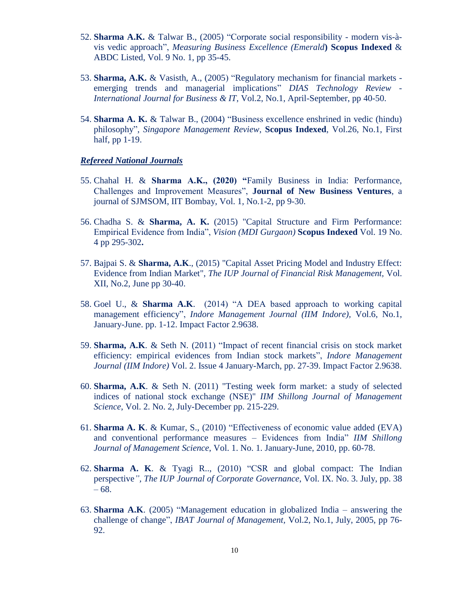- 52. **Sharma A.K.** & Talwar B., (2005) "Corporate social responsibility modern vis-àvis vedic approach", *Measuring Business Excellence (Emerald***) Scopus Indexed** & ABDC Listed, Vol. 9 No. 1, pp 35-45.
- 53. **Sharma, A.K.** & Vasisth, A., (2005) "Regulatory mechanism for financial markets emerging trends and managerial implications" *DIAS Technology Review - International Journal for Business & IT*, Vol.2, No.1, April-September, pp 40-50.
- 54. **Sharma A. K.** & Talwar B., (2004) "Business excellence enshrined in vedic (hindu) philosophy", *Singapore Management Review*, **Scopus Indexed**, Vol.26, No.1, First half, pp 1-19.

#### *Refereed National Journals*

- 55. Chahal H. & **Sharma A.K., (2020) "**Family Business in India: Performance, Challenges and Improvement Measures", **Journal of New Business Ventures**, a journal of SJMSOM, IIT Bombay, Vol. 1, No.1-2, pp 9-30.
- 56. Chadha S. & **Sharma, A. K.** (2015) "Capital Structure and Firm Performance: Empirical Evidence from India", *Vision (MDI Gurgaon)* **Scopus Indexed** Vol. 19 No. 4 pp 295-302**.**
- 57. Bajpai S. & **Sharma, A.K**., (2015) "Capital Asset Pricing Model and Industry Effect: Evidence from Indian Market", *The IUP Journal of Financial Risk Management,* Vol. XII, No.2, June pp 30-40.
- 58. Goel U., & **Sharma A.K**. (2014) "A DEA based approach to working capital management efficiency", *Indore Management Journal (IIM Indore),* Vol.6, No.1, January-June. pp. 1-12. Impact Factor 2.9638.
- 59. **Sharma, A.K**. & Seth N. (2011) "Impact of recent financial crisis on stock market efficiency: empirical evidences from Indian stock markets", *Indore Management Journal (IIM Indore)* Vol. 2. Issue 4 January-March, pp. 27-39. Impact Factor 2.9638.
- 60. **Sharma, A.K**. & Seth N. (2011) "Testing week form market: a study of selected indices of national stock exchange (NSE)" *IIM Shillong Journal of Management Science*, Vol. 2. No. 2, July-December pp. 215-229.
- 61. **Sharma A. K**. & Kumar, S., (2010) "Effectiveness of economic value added (EVA) and conventional performance measures – Evidences from India" *IIM Shillong Journal of Management Science*, Vol. 1. No. 1. January-June, 2010, pp. 60-78.
- 62. **Sharma A. K**. & Tyagi R.., (2010) "CSR and global compact: The Indian perspective*", The IUP Journal of Corporate Governance*, Vol. IX. No. 3. July, pp. 38 – 68.
- 63. **Sharma A.K**. (2005) "Management education in globalized India answering the challenge of change", *IBAT Journal of Management,* Vol.2, No.1, July, 2005, pp 76- 92.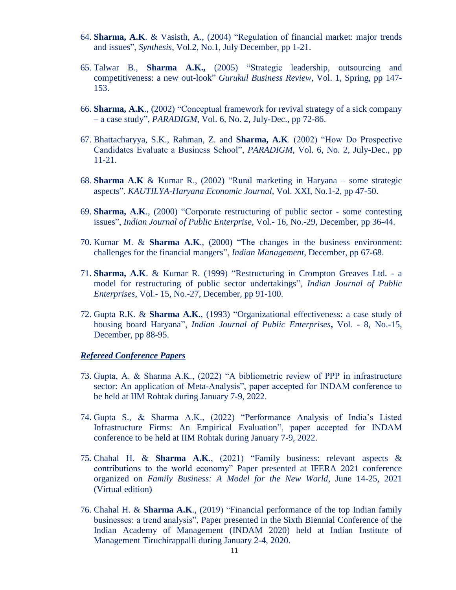- 64. **Sharma, A.K**. & Vasisth, A., (2004) "Regulation of financial market: major trends and issues", *Synthesis*, Vol.2, No.1, July December, pp 1-21.
- 65. Talwar B., **Sharma A.K.,** (2005) "Strategic leadership, outsourcing and competitiveness: a new out-look" *Gurukul Business Review*, Vol. 1, Spring, pp 147- 153.
- 66. **Sharma, A.K**., (2002) "Conceptual framework for revival strategy of a sick company – a case study", *PARADIGM*, Vol. 6, No. 2, July-Dec., pp 72-86.
- 67. Bhattacharyya, S.K., Rahman, Z. and **Sharma, A.K**. (2002) "How Do Prospective Candidates Evaluate a Business School", *PARADIGM*, Vol. 6, No. 2, July-Dec., pp 11-21.
- 68. **Sharma A.K** & Kumar R., (2002) "Rural marketing in Haryana some strategic aspects". *KAUTILYA-Haryana Economic Journal*, Vol. XXI, No.1-2, pp 47-50.
- 69. **Sharma, A.K**., (2000) "Corporate restructuring of public sector some contesting issues", *Indian Journal of Public Enterprise*, Vol.- 16, No.-29, December, pp 36-44.
- 70. Kumar M. & **Sharma A.K**., (2000) "The changes in the business environment: challenges for the financial mangers", *Indian Management*, December, pp 67-68.
- 71. **Sharma, A.K**. & Kumar R. (1999) "Restructuring in Crompton Greaves Ltd. a model for restructuring of public sector undertakings", *Indian Journal of Public Enterprises*, Vol.- 15, No.-27, December, pp 91-100.
- 72. Gupta R.K. & **Sharma A.K**., (1993) "Organizational effectiveness: a case study of housing board Haryana", *Indian Journal of Public Enterprises***,** Vol. - 8, No.-15, December, pp 88-95.

#### *Refereed Conference Papers*

- 73. Gupta, A. & Sharma A.K., (2022) "A bibliometric review of PPP in infrastructure sector: An application of Meta-Analysis", paper accepted for INDAM conference to be held at IIM Rohtak during January 7-9, 2022.
- 74. Gupta S., & Sharma A.K., (2022) "Performance Analysis of India's Listed Infrastructure Firms: An Empirical Evaluation", paper accepted for INDAM conference to be held at IIM Rohtak during January 7-9, 2022.
- 75. Chahal H. & **Sharma A.K**., (2021) "Family business: relevant aspects & contributions to the world economy" Paper presented at IFERA 2021 conference organized on *Family Business: A Model for the New World*, June 14-25, 2021 (Virtual edition)
- 76. Chahal H. & **Sharma A.K**., (2019) "Financial performance of the top Indian family businesses: a trend analysis", Paper presented in the Sixth Biennial Conference of the Indian Academy of Management (INDAM 2020) held at Indian Institute of Management Tiruchirappalli during January 2-4, 2020.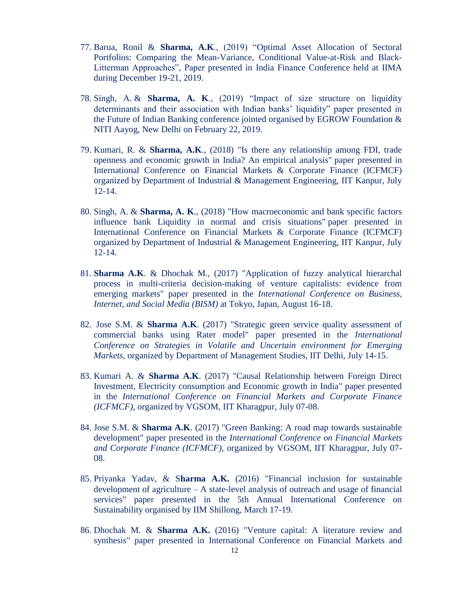- 77. Barua, Ronil & **Sharma, A.K**., (2019) "Optimal Asset Allocation of Sectoral Portfolios: Comparing the Mean-Variance, Conditional Value-at-Risk and Black-Litterman Approaches", Paper presented in India Finance Conference held at IIMA during December 19-21, 2019.
- 78. Singh, A. & **Sharma, A. K**., (2019) "Impact of size structure on liquidity determinants and their association with Indian banks' liquidity" paper presented in the Future of Indian Banking conference jointed organised by EGROW Foundation & NITI Aayog, New Delhi on February 22, 2019.
- 79. Kumari, R. & **Sharma, A.K**., (2018) "Is there any relationship among FDI, trade openness and economic growth in India? An empirical analysis" paper presented in International Conference on Financial Markets & Corporate Finance (ICFMCF) organized by Department of Industrial & Management Engineering, IIT Kanpur, July 12-14.
- 80. Singh, A. & **Sharma, A. K**., (2018) "How macroeconomic and bank specific factors influence bank Liquidity in normal and crisis situations" paper presented in International Conference on Financial Markets & Corporate Finance (ICFMCF) organized by Department of Industrial & Management Engineering, IIT Kanpur, July 12-14.
- 81. **Sharma A.K**. & Dhochak M., (2017) "Application of fuzzy analytical hierarchal process in multi-criteria decision-making of venture capitalists: evidence from emerging markets" paper presented in the *International Conference on Business, Internet, and Social Media (BISM)* at Tokyo, Japan, August 16-18.
- 82. Jose S.M. & **Sharma A.K**. (2017) "Strategic green service quality assessment of commercial banks using Rater model" paper presented in the *International Conference on Strategies in Volatile and Uncertain environment for Emerging Markets*, organized by Department of Management Studies, IIT Delhi, July 14-15.
- 83. Kumari A. & **Sharma A.K**. (2017) "Causal Relationship between Foreign Direct Investment, Electricity consumption and Economic growth in India" paper presented in the *International Conference on Financial Markets and Corporate Finance (ICFMCF)*, organized by VGSOM, IIT Kharagpur, July 07-08.
- 84. Jose S.M. & **Sharma A.K**. (2017) "Green Banking: A road map towards sustainable development" paper presented in the *International Conference on Financial Markets and Corporate Finance (ICFMCF)*, organized by VGSOM, IIT Kharagpur, July 07- 08.
- 85. Priyanka Yadav, & S**harma A.K.** (2016) "Financial inclusion for sustainable development of agriculture – A state-level analysis of outreach and usage of financial services" paper presented in the 5th Annual International Conference on Sustainability organised by IIM Shillong, March 17-19.
- 86. Dhochak M. & **Sharma A.K.** (2016) "Venture capital: A literature review and synthesis" paper presented in International Conference on Financial Markets and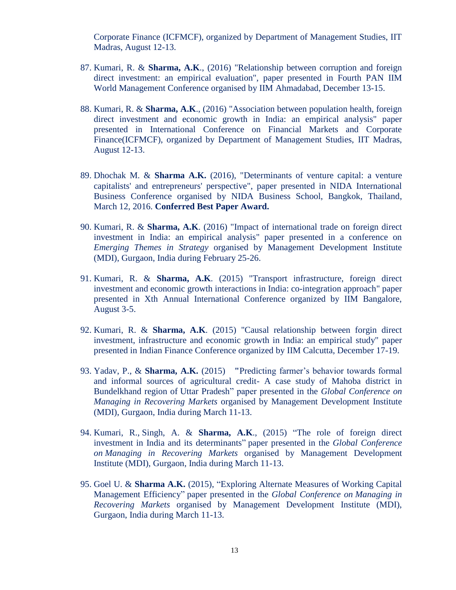Corporate Finance (ICFMCF), organized by Department of Management Studies, IIT Madras, August 12-13.

- 87. Kumari, R. & **Sharma, A.K**., (2016) "Relationship between corruption and foreign direct investment: an empirical evaluation", paper presented in Fourth PAN IIM World Management Conference organised by IIM Ahmadabad, December 13-15.
- 88. Kumari, R. & **Sharma, A.K**., (2016) "Association between population health, foreign direct investment and economic growth in India: an empirical analysis" paper presented in International Conference on Financial Markets and Corporate Finance(ICFMCF), organized by Department of Management Studies, IIT Madras, August 12-13.
- 89. Dhochak M. & **Sharma A.K.** (2016), "Determinants of venture capital: a venture capitalists' and entrepreneurs' perspective", paper presented in NIDA International Business Conference organised by NIDA Business School, Bangkok, Thailand, March 12, 2016. **Conferred Best Paper Award.**
- 90. Kumari, R. & **Sharma, A.K**. (2016) "Impact of international trade on foreign direct investment in India: an empirical analysis" paper presented in a conference on *Emerging Themes in Strategy* organised by Management Development Institute (MDI), Gurgaon, India during February 25-26.
- 91. Kumari, R. & **Sharma, A.K**. (2015) "Transport infrastructure, foreign direct investment and economic growth interactions in India: co-integration approach" paper presented in Xth Annual International Conference organized by IIM Bangalore, August 3-5.
- 92. Kumari, R. & **Sharma, A.K**. (2015) "Causal relationship between forgin direct investment, infrastructure and economic growth in India: an empirical study" paper presented in Indian Finance Conference organized by IIM Calcutta, December 17-19.
- 93. Yadav, P., & **Sharma, A.K.** (2015) **"**Predicting farmer's behavior towards formal and informal sources of agricultural credit- A case study of Mahoba district in Bundelkhand region of Uttar Pradesh" paper presented in the *Global Conference on Managing in Recovering Markets* organised by Management Development Institute (MDI), Gurgaon, India during March 11-13.
- 94. Kumari, R., Singh, A. & **Sharma, A.K**., (2015) "The role of foreign direct investment in India and its determinants" paper presented in the *Global Conference on Managing in Recovering Markets* organised by Management Development Institute (MDI), Gurgaon, India during March 11-13.
- 95. Goel U. & **Sharma A.K.** (2015), "Exploring Alternate Measures of Working Capital Management Efficiency" paper presented in the *Global Conference on Managing in Recovering Markets* organised by Management Development Institute (MDI), Gurgaon, India during March 11-13.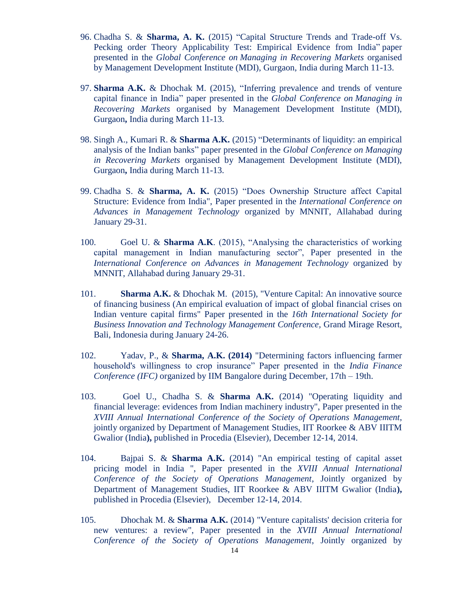- 96. Chadha S. & **Sharma, A. K.** (2015) "Capital Structure Trends and Trade-off Vs. Pecking order Theory Applicability Test: Empirical Evidence from India" paper presented in the *Global Conference on Managing in Recovering Markets* organised by Management Development Institute (MDI), Gurgaon, India during March 11-13.
- 97. **Sharma A.K.** & Dhochak M. (2015), "Inferring prevalence and trends of venture capital finance in India" paper presented in the *Global Conference on Managing in Recovering Markets* organised by Management Development Institute (MDI), Gurgaon**,** India during March 11-13.
- 98. Singh A., Kumari R. & **Sharma A.K.** (2015) "Determinants of liquidity: an empirical analysis of the Indian banks" paper presented in the *Global Conference on Managing in Recovering Markets* organised by Management Development Institute (MDI), Gurgaon**,** India during March 11-13.
- 99. Chadha S. & **Sharma, A. K.** (2015) "Does Ownership Structure affect Capital Structure: Evidence from India", Paper presented in the *International Conference on Advances in Management Technology* organized by MNNIT, Allahabad during January 29-31.
- 100. Goel U. & **Sharma A.K**. (2015), "Analysing the characteristics of working capital management in Indian manufacturing sector", Paper presented in the *International Conference on Advances in Management Technology* organized by MNNIT, Allahabad during January 29-31.
- 101. **Sharma A.K.** & Dhochak M. (2015), "Venture Capital: An innovative source of financing business (An empirical evaluation of impact of global financial crises on Indian venture capital firms" Paper presented in the *16th International Society for Business Innovation and Technology Management Conference,* Grand Mirage Resort, Bali, Indonesia during January 24-26.
- 102. Yadav, P., & **Sharma, A.K. (2014)** "Determining factors influencing farmer household's willingness to crop insurance" Paper presented in the *India Finance Conference (IFC)* organized by IIM Bangalore during December, 17th – 19th.
- 103. Goel U., Chadha S. & **Sharma A.K.** (2014) "Operating liquidity and financial leverage: evidences from Indian machinery industry", Paper presented in the *XVIII Annual International Conference of the Society of Operations Management*, jointly organized by Department of Management Studies, IIT Roorkee & ABV IIITM Gwalior (India**),** published in Procedia (Elsevier), December 12-14, 2014.
- 104. Bajpai S. & **Sharma A.K.** (2014) "An empirical testing of capital asset pricing model in India ", Paper presented in the *XVIII Annual International Conference of the Society of Operations Management*, Jointly organized by Department of Management Studies, IIT Roorkee & ABV IIITM Gwalior (India**),**  published in Procedia (Elsevier), December 12-14, 2014.
- 105. Dhochak M. & **Sharma A.K.** (2014) "Venture capitalists' decision criteria for new ventures: a review", Paper presented in the *XVIII Annual International Conference of the Society of Operations Management*, Jointly organized by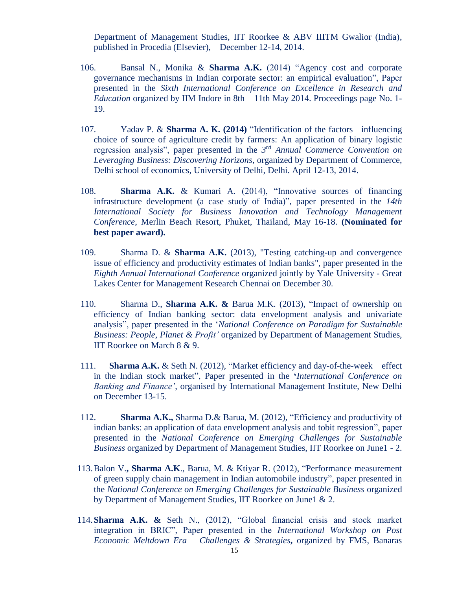Department of Management Studies, IIT Roorkee & ABV IIITM Gwalior (India), published in Procedia (Elsevier), December 12-14, 2014.

- 106. Bansal N., Monika & **Sharma A.K.** (2014) "Agency cost and corporate governance mechanisms in Indian corporate sector: an empirical evaluation", Paper presented in the *Sixth International Conference on Excellence in Research and Education* organized by IIM Indore in 8th – 11th May 2014. Proceedings page No. 1- 19.
- 107. Yadav P. & **Sharma A. K. (2014)** "Identification of the factors influencing choice of source of agriculture credit by farmers: An application of binary logistic regression analysis", paper presented in the *3 rd Annual Commerce Convention on Leveraging Business: Discovering Horizons*, organized by Department of Commerce, Delhi school of economics, University of Delhi, Delhi. April 12-13, 2014.
- 108. **Sharma A.K.** & Kumari A. (2014), "Innovative sources of financing infrastructure development (a case study of India)", paper presented in the *14th International Society for Business Innovation and Technology Management Conference*, Merlin Beach Resort, Phuket, Thailand, May 16-18. **(Nominated for best paper award).**
- 109. Sharma D. & **Sharma A.K.** (2013), "Testing catching-up and convergence issue of efficiency and productivity estimates of Indian banks", paper presented in the *Eighth Annual International Conference* organized jointly by Yale University - Great Lakes Center for Management Research Chennai on December 30.
- 110. Sharma D., **Sharma A.K. &** Barua M.K. (2013), "Impact of ownership on efficiency of Indian banking sector: data envelopment analysis and univariate analysis", paper presented in the '*National Conference on Paradigm for Sustainable Business: People, Planet & Profit'* organized by Department of Management Studies, IIT Roorkee on March 8 & 9.
- 111. **Sharma A.K.** & Seth N. (2012), "Market efficiency and day-of-the-week effect in the Indian stock market", Paper presented in the **'***International Conference on Banking and Finance'*, organised by International Management Institute, New Delhi on December 13-15.
- 112. **Sharma A.K.,** Sharma D.& Barua, M. (2012), "Efficiency and productivity of indian banks: an application of data envelopment analysis and tobit regression", paper presented in the *National Conference on Emerging Challenges for Sustainable Business* organized by Department of Management Studies, IIT Roorkee on June1 - 2.
- 113.Balon V.**, Sharma A.K**., Barua, M. & Ktiyar R. (2012), "Performance measurement of green supply chain management in Indian automobile industry", paper presented in the *National Conference on Emerging Challenges for Sustainable Business* organized by Department of Management Studies, IIT Roorkee on June1 & 2.
- 114.**Sharma A.K. &** Seth N., (2012), "Global financial crisis and stock market integration in BRIC", Paper presented in the *International Workshop on Post Economic Meltdown Era – Challenges & Strategies***,** organized by FMS, Banaras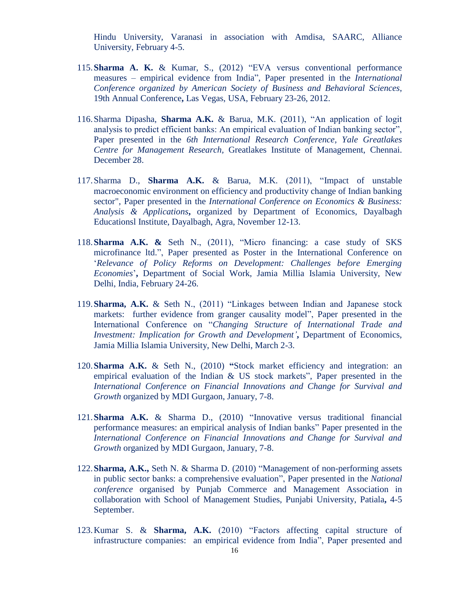Hindu University, Varanasi in association with Amdisa, SAARC, Alliance University, February 4-5.

- 115.**Sharma A. K.** & Kumar, S., (2012) "EVA versus conventional performance measures – empirical evidence from India", Paper presented in the *International Conference organized by American Society of Business and Behavioral Sciences*, 19th Annual Conference**,** Las Vegas, USA, February 23-26, 2012.
- 116.Sharma Dipasha, **Sharma A.K.** & Barua, M.K. (2011), "An application of logit analysis to predict efficient banks: An empirical evaluation of Indian banking sector", Paper presented in the *6th International Research Conference, Yale Greatlakes Centre for Management Research,* Greatlakes Institute of Management, Chennai. December 28.
- 117.Sharma D., **Sharma A.K.** & Barua, M.K. (2011), "Impact of unstable macroeconomic environment on efficiency and productivity change of Indian banking sector", Paper presented in the *International Conference on Economics & Business: Analysis & Applications***,** organized by Department of Economics, Dayalbagh Educationsl Institute, Dayalbagh, Agra, November 12-13.
- 118.**Sharma A.K. &** Seth N., (2011), "Micro financing: a case study of SKS microfinance ltd.", Paper presented as Poster in the International Conference on '*Relevance of Policy Reforms on Development: Challenges before Emerging Economies*'**,** Department of Social Work, Jamia Millia Islamia University, New Delhi, India, February 24-26.
- 119.**Sharma, A.K.** & Seth N., (2011) "Linkages between Indian and Japanese stock markets: further evidence from granger causality model", Paper presented in the International Conference on "*Changing Structure of International Trade and Investment: Implication for Growth and Development'***,** Department of Economics, Jamia Millia Islamia University, New Delhi, March 2-3.
- 120.**Sharma A.K.** & Seth N., (2010) **"**Stock market efficiency and integration: an empirical evaluation of the Indian & US stock markets", Paper presented in the *International Conference on Financial Innovations and Change for Survival and Growth* organized by MDI Gurgaon, January, 7-8.
- 121.**Sharma A.K.** & Sharma D., (2010) "Innovative versus traditional financial performance measures: an empirical analysis of Indian banks" Paper presented in the *International Conference on Financial Innovations and Change for Survival and Growth* organized by MDI Gurgaon, January, 7-8.
- 122.**Sharma, A.K.,** Seth N. & Sharma D. (2010) "Management of non-performing assets in public sector banks: a comprehensive evaluation", Paper presented in the *National conference* organised by Punjab Commerce and Management Association in collaboration with School of Management Studies, Punjabi University, Patiala**,** 4-5 September.
- 123.Kumar S. & **Sharma, A.K.** (2010) "Factors affecting capital structure of infrastructure companies: an empirical evidence from India", Paper presented and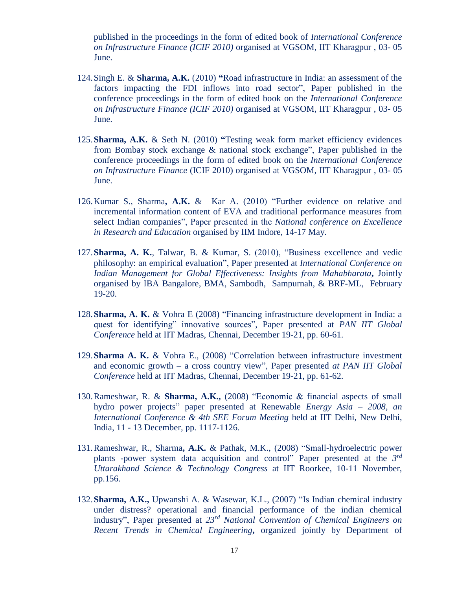published in the proceedings in the form of edited book of *International Conference on Infrastructure Finance (ICIF 2010)* organised at VGSOM, IIT Kharagpur , 03- 05 June.

- 124.Singh E. & **Sharma, A.K.** (2010) **"**Road infrastructure in India: an assessment of the factors impacting the FDI inflows into road sector", Paper published in the conference proceedings in the form of edited book on the *International Conference on Infrastructure Finance (ICIF 2010)* organised at VGSOM, IIT Kharagpur , 03- 05 June.
- 125.**Sharma, A.K.** & Seth N. (2010) **"**Testing weak form market efficiency evidences from Bombay stock exchange & national stock exchange", Paper published in the conference proceedings in the form of edited book on the *International Conference on Infrastructure Finance* (ICIF 2010) organised at VGSOM, IIT Kharagpur , 03- 05 June.
- 126.Kumar S., Sharma**, A.K.** & Kar A. (2010) "Further evidence on relative and incremental information content of EVA and traditional performance measures from select Indian companies", Paper presented in the *National conference on Excellence in Research and Education* organised by IIM Indore, 14-17 May.
- 127.**Sharma, A. K.**, Talwar, B. & Kumar, S. (2010), "Business excellence and vedic philosophy: an empirical evaluation", Paper presented at *International Conference on Indian Management for Global Effectiveness: Insights from Mahabharata***,** Jointly organised by IBA Bangalore, BMA, Sambodh, Sampurnah, & BRF-ML, February 19-20.
- 128.**Sharma, A. K.** & Vohra E (2008) "Financing infrastructure development in India: a quest for identifying" innovative sources", Paper presented at *PAN IIT Global Conference* held at IIT Madras, Chennai, December 19-21, pp. 60-61.
- 129.**Sharma A. K.** & Vohra E., (2008) "Correlation between infrastructure investment and economic growth – a cross country view", Paper presented *at PAN IIT Global Conference* held at IIT Madras, Chennai, December 19-21, pp. 61-62.
- 130.Rameshwar, R. & **Sharma, A.K.,** (2008) "Economic & financial aspects of small hydro power projects" paper presented at Renewable *Energy Asia – 2008, an International Conference & 4th SEE Forum Meeting* held at IIT Delhi, New Delhi, India, 11 - 13 December, pp. 1117-1126.
- 131.Rameshwar, R., Sharma**, A.K.** & Pathak, M.K., (2008) "Small-hydroelectric power plants -power system data acquisition and control" Paper presented at the *3 rd Uttarakhand Science & Technology Congress* at IIT Roorkee, 10-11 November, pp.156.
- 132.**Sharma, A.K.,** Upwanshi A. & Wasewar, K.L., (2007) "Is Indian chemical industry under distress? operational and financial performance of the indian chemical industry", Paper presented at *23rd National Convention of Chemical Engineers on Recent Trends in Chemical Engineering***,** organized jointly by Department of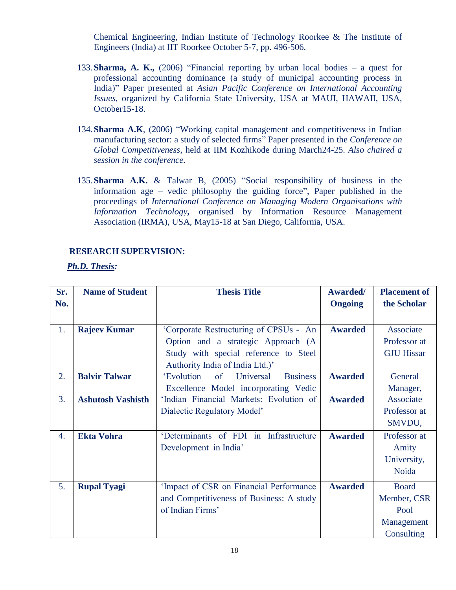Chemical Engineering, Indian Institute of Technology Roorkee & The Institute of Engineers (India) at IIT Roorkee October 5-7, pp. 496-506.

- 133.**Sharma, A. K.,** (2006) "Financial reporting by urban local bodies a quest for professional accounting dominance (a study of municipal accounting process in India)" Paper presented at *Asian Pacific Conference on International Accounting Issues*, organized by California State University, USA at MAUI, HAWAII, USA, October15-18.
- 134.**Sharma A.K**, (2006) "Working capital management and competitiveness in Indian manufacturing sector: a study of selected firms" Paper presented in the *Conference on Global Competitiveness*, held at IIM Kozhikode during March24-25. *Also chaired a session in the conference.*
- 135.**Sharma A.K.** & Talwar B, (2005) "Social responsibility of business in the information age – vedic philosophy the guiding force", Paper published in the proceedings of *International Conference on Managing Modern Organisations with Information Technology***,** organised by Information Resource Management Association (IRMA), USA, May15-18 at San Diego, California, USA.

#### **RESEARCH SUPERVISION:**

*Ph.D. Thesis:*

| Sr.              | <b>Name of Student</b>   | <b>Thesis Title</b>                              | Awarded/       | <b>Placement of</b> |
|------------------|--------------------------|--------------------------------------------------|----------------|---------------------|
| No.              |                          |                                                  | <b>Ongoing</b> | the Scholar         |
|                  |                          |                                                  |                |                     |
| 1.               | <b>Rajeev Kumar</b>      | 'Corporate Restructuring of CPSUs - An           | <b>Awarded</b> | Associate           |
|                  |                          | Option and a strategic Approach (A               |                | Professor at        |
|                  |                          | Study with special reference to Steel            |                | <b>GJU Hissar</b>   |
|                  |                          | Authority India of India Ltd.)'                  |                |                     |
| 2.               | <b>Balvir Talwar</b>     | 'Evolution<br>of<br>Universal<br><b>Business</b> | <b>Awarded</b> | General             |
|                  |                          | Excellence Model incorporating Vedic             |                | Manager,            |
| 3.               | <b>Ashutosh Vashisth</b> | 'Indian Financial Markets: Evolution of          | <b>Awarded</b> | Associate           |
|                  |                          | Dialectic Regulatory Model'                      |                | Professor at        |
|                  |                          |                                                  |                | SMVDU,              |
| $\overline{4}$ . | <b>Ekta Vohra</b>        | 'Determinants of FDI in Infrastructure           | <b>Awarded</b> | Professor at        |
|                  |                          | Development in India'                            |                | Amity               |
|                  |                          |                                                  |                | University,         |
|                  |                          |                                                  |                | Noida               |
| 5.               | <b>Rupal Tyagi</b>       | 'Impact of CSR on Financial Performance          | <b>Awarded</b> | <b>Board</b>        |
|                  |                          | and Competitiveness of Business: A study         |                | Member, CSR         |
|                  |                          | of Indian Firms'                                 |                | Pool                |
|                  |                          |                                                  |                | Management          |
|                  |                          |                                                  |                | Consulting          |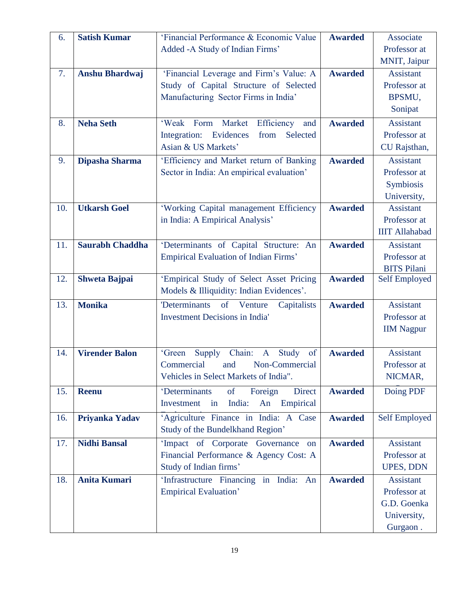| 6.  | <b>Satish Kumar</b>    | 'Financial Performance & Economic Value         | <b>Awarded</b> | Associate             |
|-----|------------------------|-------------------------------------------------|----------------|-----------------------|
|     |                        | Added -A Study of Indian Firms'                 |                | Professor at          |
|     |                        |                                                 |                | MNIT, Jaipur          |
| 7.  | <b>Anshu Bhardwaj</b>  | 'Financial Leverage and Firm's Value: A         | <b>Awarded</b> | Assistant             |
|     |                        | Study of Capital Structure of Selected          |                | Professor at          |
|     |                        | Manufacturing Sector Firms in India'            |                | BPSMU,                |
|     |                        |                                                 |                | Sonipat               |
| 8.  | <b>Neha Seth</b>       | 'Weak Form Market<br>Efficiency<br>and          | <b>Awarded</b> | <b>Assistant</b>      |
|     |                        | Integration: Evidences<br>Selected<br>from      |                | Professor at          |
|     |                        | Asian & US Markets'                             |                | CU Rajsthan,          |
| 9.  | Dipasha Sharma         | 'Efficiency and Market return of Banking        | <b>Awarded</b> | Assistant             |
|     |                        | Sector in India: An empirical evaluation'       |                | Professor at          |
|     |                        |                                                 |                | Symbiosis             |
|     |                        |                                                 |                | University,           |
| 10. | <b>Utkarsh Goel</b>    | 'Working Capital management Efficiency          | <b>Awarded</b> | Assistant             |
|     |                        | in India: A Empirical Analysis'                 |                | Professor at          |
|     |                        |                                                 |                | <b>IIIT Allahabad</b> |
| 11. | <b>Saurabh Chaddha</b> | 'Determinants of Capital Structure: An          | <b>Awarded</b> | <b>Assistant</b>      |
|     |                        | Empirical Evaluation of Indian Firms'           |                | Professor at          |
|     |                        |                                                 |                | <b>BITS Pilani</b>    |
| 12. | <b>Shweta Bajpai</b>   | 'Empirical Study of Select Asset Pricing        | <b>Awarded</b> | Self Employed         |
|     |                        | Models & Illiquidity: Indian Evidences'.        |                |                       |
| 13. | <b>Monika</b>          | 'Determinants of Venture<br>Capitalists         | <b>Awarded</b> | <b>Assistant</b>      |
|     |                        | <b>Investment Decisions in India'</b>           |                | Professor at          |
|     |                        |                                                 |                | <b>IIM Nagpur</b>     |
|     |                        |                                                 |                |                       |
| 14. | <b>Virender Balon</b>  | Chain: A Study<br>of<br>'Green<br>Supply        | <b>Awarded</b> | <b>Assistant</b>      |
|     |                        | Commercial<br>and Non-Commercial                |                | Professor at          |
|     |                        | Vehicles in Select Markets of India".           |                | NICMAR,               |
| 15. | <b>Reenu</b>           | 'Determinants<br><b>Direct</b><br>of<br>Foreign | <b>Awarded</b> | Doing PDF             |
|     |                        | India:<br>Investment<br>Empirical<br>An<br>in   |                |                       |
| 16. | Priyanka Yadav         | 'Agriculture Finance in India: A Case           | <b>Awarded</b> | <b>Self Employed</b>  |
|     |                        | Study of the Bundelkhand Region'                |                |                       |
| 17. | <b>Nidhi Bansal</b>    | 'Impact of Corporate Governance<br>on           | <b>Awarded</b> | Assistant             |
|     |                        | Financial Performance & Agency Cost: A          |                | Professor at          |
|     |                        | Study of Indian firms'                          |                | UPES, DDN             |
| 18. | <b>Anita Kumari</b>    | 'Infrastructure Financing in India: An          | <b>Awarded</b> | <b>Assistant</b>      |
|     |                        | <b>Empirical Evaluation'</b>                    |                | Professor at          |
|     |                        |                                                 |                | G.D. Goenka           |
|     |                        |                                                 |                | University,           |
|     |                        |                                                 |                | Gurgaon.              |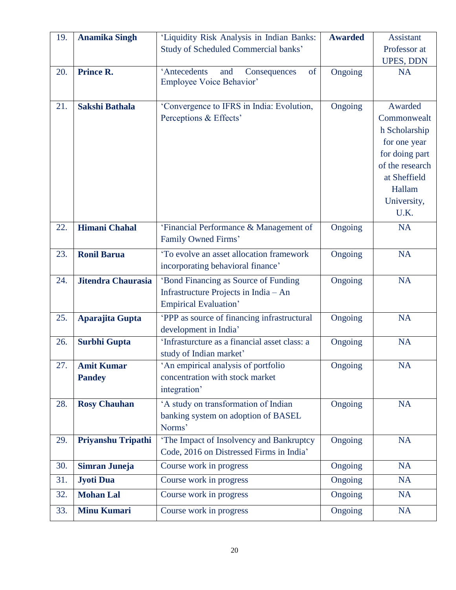| 19. | <b>Anamika Singh</b>      | 'Liquidity Risk Analysis in Indian Banks:                              | <b>Awarded</b> | <b>Assistant</b>    |
|-----|---------------------------|------------------------------------------------------------------------|----------------|---------------------|
|     |                           | <b>Study of Scheduled Commercial banks'</b>                            |                | Professor at        |
|     |                           |                                                                        |                | <b>UPES, DDN</b>    |
| 20. | <b>Prince R.</b>          | 'Antecedents<br>Consequences<br>of<br>and<br>Employee Voice Behavior'  | Ongoing        | <b>NA</b>           |
| 21. | <b>Sakshi Bathala</b>     | 'Convergence to IFRS in India: Evolution,                              | Ongoing        | Awarded             |
|     |                           | Perceptions & Effects'                                                 |                | Commonwealt         |
|     |                           |                                                                        |                | h Scholarship       |
|     |                           |                                                                        |                | for one year        |
|     |                           |                                                                        |                | for doing part      |
|     |                           |                                                                        |                | of the research     |
|     |                           |                                                                        |                | at Sheffield        |
|     |                           |                                                                        |                | Hallam              |
|     |                           |                                                                        |                | University,<br>U.K. |
|     |                           |                                                                        |                |                     |
| 22. | <b>Himani Chahal</b>      | 'Financial Performance & Management of                                 | Ongoing        | <b>NA</b>           |
|     |                           | Family Owned Firms'                                                    |                |                     |
| 23. | <b>Ronil Barua</b>        | 'To evolve an asset allocation framework                               | Ongoing        | <b>NA</b>           |
|     |                           | incorporating behavioral finance'                                      |                |                     |
| 24. | <b>Jitendra Chaurasia</b> | 'Bond Financing as Source of Funding                                   | Ongoing        | <b>NA</b>           |
|     |                           | Infrastructure Projects in India - An                                  |                |                     |
|     |                           | <b>Empirical Evaluation'</b>                                           |                |                     |
| 25. | Aparajita Gupta           | 'PPP as source of financing infrastructural                            | Ongoing        | <b>NA</b>           |
|     |                           | development in India'<br>'Infrasturcture as a financial asset class: a |                | <b>NA</b>           |
| 26. | <b>Surbhi Gupta</b>       | study of Indian market'                                                | Ongoing        |                     |
| 27. | <b>Amit Kumar</b>         | 'An empirical analysis of portfolio                                    | Ongoing        | <b>NA</b>           |
|     | <b>Pandey</b>             | concentration with stock market                                        |                |                     |
|     |                           | integration'                                                           |                |                     |
| 28. | <b>Rosy Chauhan</b>       | 'A study on transformation of Indian                                   | Ongoing        | <b>NA</b>           |
|     |                           | banking system on adoption of BASEL                                    |                |                     |
|     |                           | Norms'                                                                 |                |                     |
| 29. | Priyanshu Tripathi        | 'The Impact of Insolvency and Bankruptcy                               | Ongoing        | <b>NA</b>           |
|     |                           | Code, 2016 on Distressed Firms in India'                               |                |                     |
| 30. | Simran Juneja             | Course work in progress                                                | Ongoing        | <b>NA</b>           |
| 31. | Jyoti Dua                 | Course work in progress                                                | Ongoing        | <b>NA</b>           |
| 32. | <b>Mohan Lal</b>          | Course work in progress                                                | Ongoing        | <b>NA</b>           |
| 33. | <b>Minu Kumari</b>        | Course work in progress                                                | Ongoing        | <b>NA</b>           |
|     |                           |                                                                        |                |                     |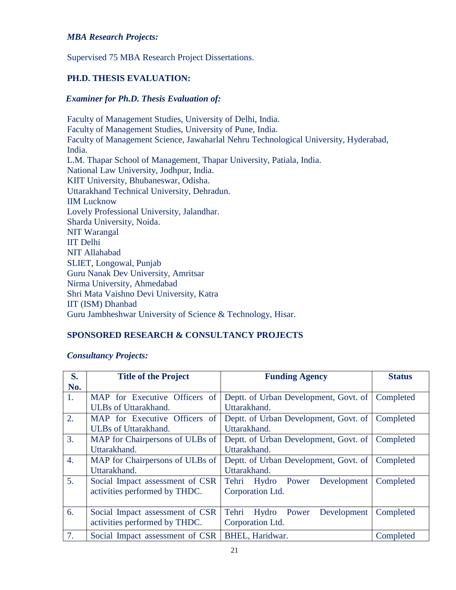# *MBA Research Projects:*

Supervised 75 MBA Research Project Dissertations.

# **PH.D. THESIS EVALUATION:**

#### *Examiner for Ph.D. Thesis Evaluation of:*

Faculty of Management Studies, University of Delhi, India. Faculty of Management Studies, University of Pune, India. Faculty of Management Science, Jawaharlal Nehru Technological University, Hyderabad, India. L.M. Thapar School of Management, Thapar University, Patiala, India. National Law University, Jodhpur, India. KIIT University, Bhubaneswar, Odisha. Uttarakhand Technical University, Dehradun. IIM Lucknow Lovely Professional University, Jalandhar. Sharda University, Noida. NIT Warangal IIT Delhi NIT Allahabad SLIET, Longowal, Punjab Guru Nanak Dev University, Amritsar Nirma University, Ahmedabad Shri Mata Vaishno Devi University, Katra IIT (ISM) Dhanbad Guru Jambheshwar University of Science & Technology, Hisar.

#### **SPONSORED RESEARCH & CONSULTANCY PROJECTS**

#### *Consultancy Projects:*

| S.               | <b>Title of the Project</b>     | <b>Funding Agency</b>                 | <b>Status</b> |
|------------------|---------------------------------|---------------------------------------|---------------|
| No.              |                                 |                                       |               |
| 1.               | MAP for Executive Officers of   | Deptt. of Urban Development, Govt. of | Completed     |
|                  | ULBs of Uttarakhand.            | Uttarakhand.                          |               |
| 2.               | MAP for Executive Officers of   | Deptt. of Urban Development, Govt. of | Completed     |
|                  | <b>ULBs</b> of Uttarakhand.     | Uttarakhand.                          |               |
| 3.               | MAP for Chairpersons of ULBs of | Deptt. of Urban Development, Govt. of | Completed     |
|                  | Uttarakhand.                    | Uttarakhand.                          |               |
| $\overline{4}$ . | MAP for Chairpersons of ULBs of | Deptt. of Urban Development, Govt. of | Completed     |
|                  | Uttarakhand.                    | Uttarakhand.                          |               |
| 5 <sub>1</sub>   | Social Impact assessment of CSR | Tehri Hydro Power<br>Development      | Completed     |
|                  | activities performed by THDC.   | Corporation Ltd.                      |               |
|                  |                                 |                                       |               |
| 6.               | Social Impact assessment of CSR | Tehri<br>Hydro Power Development      | Completed     |
|                  | activities performed by THDC.   | Corporation Ltd.                      |               |
| 7.               | Social Impact assessment of CSR | BHEL, Haridwar.                       | Completed     |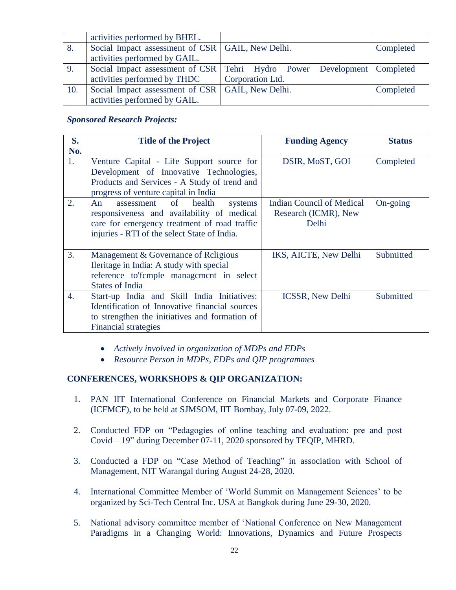|     | activities performed by BHEL.                      |                                                                             |           |
|-----|----------------------------------------------------|-----------------------------------------------------------------------------|-----------|
| 8.  | Social Impact assessment of CSR   GAIL, New Delhi. |                                                                             | Completed |
|     | activities performed by GAIL.                      |                                                                             |           |
| 9.  |                                                    | Social Impact assessment of CSR   Tehri Hydro Power Development   Completed |           |
|     | activities performed by THDC                       | Corporation Ltd.                                                            |           |
| 10. | Social Impact assessment of CSR   GAIL, New Delhi. |                                                                             | Completed |
|     | activities performed by GAIL.                      |                                                                             |           |

#### *Sponsored Research Projects:*

| S.  | <b>Title of the Project</b>                    | <b>Funding Agency</b>            | <b>Status</b> |
|-----|------------------------------------------------|----------------------------------|---------------|
| No. |                                                |                                  |               |
| 1.  | Venture Capital - Life Support source for      | DSIR, MoST, GOI                  | Completed     |
|     | Development of Innovative Technologies,        |                                  |               |
|     | Products and Services - A Study of trend and   |                                  |               |
|     | progress of venture capital in India           |                                  |               |
| 2.  | health<br>An<br>assessment of<br>systems       | <b>Indian Council of Medical</b> | On-going      |
|     | responsiveness and availability of medical     | Research (ICMR), New             |               |
|     | care for emergency treatment of road traffic   | Delhi                            |               |
|     | injuries - RTI of the select State of India.   |                                  |               |
|     |                                                |                                  |               |
| 3.  | Management & Governance of Religious           | IKS, AICTE, New Delhi            | Submitted     |
|     | Ileritage in India: A study with special       |                                  |               |
|     | reference to fcmple management in select       |                                  |               |
|     | <b>States of India</b>                         |                                  |               |
| 4.  | Start-up India and Skill India Initiatives:    | <b>ICSSR, New Delhi</b>          | Submitted     |
|     | Identification of Innovative financial sources |                                  |               |
|     | to strengthen the initiatives and formation of |                                  |               |
|     | <b>Financial strategies</b>                    |                                  |               |

- *Actively involved in organization of MDPs and EDPs*
- *Resource Person in MDPs, EDPs and QIP programmes*

### **CONFERENCES, WORKSHOPS & QIP ORGANIZATION:**

- 1. PAN IIT International Conference on Financial Markets and Corporate Finance (ICFMCF), to be held at SJMSOM, IIT Bombay, July 07-09, 2022.
- 2. Conducted FDP on "Pedagogies of online teaching and evaluation: pre and post Covid—19" during December 07-11, 2020 sponsored by TEQIP, MHRD.
- 3. Conducted a FDP on "Case Method of Teaching" in association with School of Management, NIT Warangal during August 24-28, 2020.
- 4. International Committee Member of 'World Summit on Management Sciences' to be organized by Sci-Tech Central Inc. USA at Bangkok during June 29-30, 2020.
- 5. National advisory committee member of 'National Conference on New Management Paradigms in a Changing World: Innovations, Dynamics and Future Prospects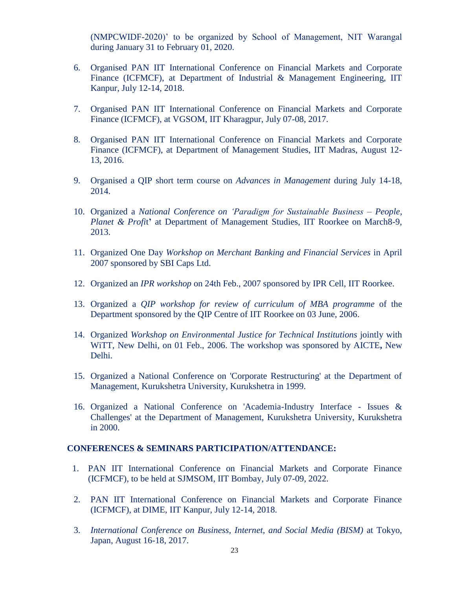(NMPCWIDF-2020)' to be organized by School of Management, NIT Warangal during January 31 to February 01, 2020.

- 6. Organised PAN IIT International Conference on Financial Markets and Corporate Finance (ICFMCF), at Department of Industrial & Management Engineering, IIT Kanpur, July 12-14, 2018.
- 7. Organised PAN IIT International Conference on Financial Markets and Corporate Finance (ICFMCF), at VGSOM, IIT Kharagpur, July 07-08, 2017.
- 8. Organised PAN IIT International Conference on Financial Markets and Corporate Finance (ICFMCF), at Department of Management Studies, IIT Madras, August 12- 13, 2016.
- 9. Organised a QIP short term course on *Advances in Management* during July 14-18, 2014.
- 10. Organized a *National Conference on 'Paradigm for Sustainable Business – People, Planet & Profi*t**'** at Department of Management Studies, IIT Roorkee on March8-9, 2013.
- 11. Organized One Day *Workshop on Merchant Banking and Financial Services* in April 2007 sponsored by SBI Caps Ltd.
- 12. Organized an *IPR workshop* on 24th Feb., 2007 sponsored by IPR Cell, IIT Roorkee.
- 13. Organized a *QIP workshop for review of curriculum of MBA programme* of the Department sponsored by the QIP Centre of IIT Roorkee on 03 June, 2006.
- 14. Organized *Workshop on Environmental Justice for Technical Institutions* jointly with WiTT, New Delhi, on 01 Feb., 2006. The workshop was sponsored by AICTE**,** New Delhi.
- 15. Organized a National Conference on 'Corporate Restructuring' at the Department of Management, Kurukshetra University, Kurukshetra in 1999.
- 16. Organized a National Conference on 'Academia-Industry Interface Issues & Challenges' at the Department of Management, Kurukshetra University, Kurukshetra in 2000.

#### **CONFERENCES & SEMINARS PARTICIPATION/ATTENDANCE:**

- 1. PAN IIT International Conference on Financial Markets and Corporate Finance (ICFMCF), to be held at SJMSOM, IIT Bombay, July 07-09, 2022.
- 2. PAN IIT International Conference on Financial Markets and Corporate Finance (ICFMCF), at DIME, IIT Kanpur, July 12-14, 2018.
- 3. *International Conference on Business, Internet, and Social Media (BISM)* at Tokyo, Japan, August 16-18, 2017.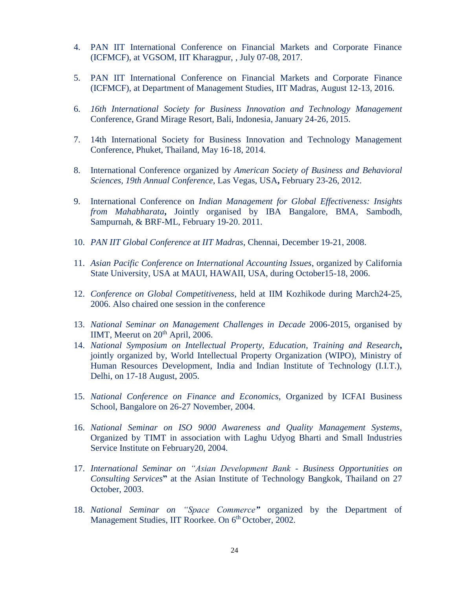- 4. PAN IIT International Conference on Financial Markets and Corporate Finance (ICFMCF), at VGSOM, IIT Kharagpur, , July 07-08, 2017.
- 5. PAN IIT International Conference on Financial Markets and Corporate Finance (ICFMCF), at Department of Management Studies, IIT Madras, August 12-13, 2016.
- 6. *16th International Society for Business Innovation and Technology Management* Conference, Grand Mirage Resort, Bali, Indonesia, January 24-26, 2015.
- 7. 14th International Society for Business Innovation and Technology Management Conference, Phuket, Thailand, May 16-18, 2014.
- 8. International Conference organized by *American Society of Business and Behavioral Sciences, 19th Annual Conference*, Las Vegas, USA**,** February 23-26, 2012.
- 9. International Conference on *Indian Management for Global Effectiveness: Insights from Mahabharata***,** Jointly organised by IBA Bangalore, BMA, Sambodh, Sampurnah, & BRF-ML, February 19-20. 2011.
- 10. *PAN IIT Global Conference at IIT Madras*, Chennai, December 19-21, 2008.
- 11. *Asian Pacific Conference on International Accounting Issues*, organized by California State University, USA at MAUI, HAWAII, USA, during October15-18, 2006.
- 12. *Conference on Global Competitiveness*, held at IIM Kozhikode during March24-25, 2006. Also chaired one session in the conference
- 13. *National Seminar on Management Challenges in Decade* 2006-2015, organised by IIMT, Meerut on  $20<sup>th</sup>$  April, 2006.
- 14. *National Symposium on Intellectual Property, Education, Training and Research***,** jointly organized by, World Intellectual Property Organization (WIPO), Ministry of Human Resources Development, India and Indian Institute of Technology (I.I.T.), Delhi, on 17-18 August, 2005.
- 15. *National Conference on Finance and Economics*, Organized by ICFAI Business School, Bangalore on 26-27 November, 2004.
- 16. *National Seminar on ISO 9000 Awareness and Quality Management Systems*, Organized by TIMT in association with Laghu Udyog Bharti and Small Industries Service Institute on February20, 2004.
- 17. *International Seminar on "Asian Development Bank - Business Opportunities on Consulting Services***"** at the Asian Institute of Technology Bangkok, Thailand on 27 October, 2003.
- 18. *National Seminar on "Space Commerce"* organized by the Department of Management Studies, IIT Roorkee. On 6<sup>th</sup> October, 2002.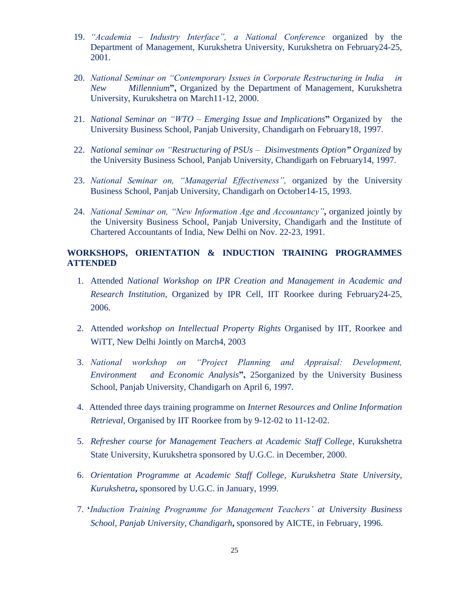- 19. *"Academia – Industry Interface", a National Conference* organized by the Department of Management, Kurukshetra University, Kurukshetra on February24-25, 2001.
- 20. *National Seminar on "Contemporary Issues in Corporate Restructuring in India in New Millennium***",** Organized by the Department of Management, Kurukshetra University, Kurukshetra on March11-12, 2000.
- 21. *National Seminar on "WTO – Emerging Issue and Implications***"** Organized by the University Business School, Panjab University, Chandigarh on February18, 1997.
- 22. *National seminar on "Restructuring of PSUs Disinvestments Option" Organized* by the University Business School, Panjab University, Chandigarh on February14, 1997.
- 23. *National Seminar on, "Managerial Effectiveness",* organized by the University Business School, Panjab University, Chandigarh on October14-15, 1993.
- 24. *National Seminar on, "New Information Age and Accountancy"***,** organized jointly by the University Business School, Panjab University, Chandigarh and the Institute of Chartered Accountants of India, New Delhi on Nov. 22-23, 1991.

# **WORKSHOPS, ORIENTATION & INDUCTION TRAINING PROGRAMMES ATTENDED**

- 1. Attended *National Workshop on IPR Creation and Management in Academic and Research Institution*, Organized by IPR Cell, IIT Roorkee during February24-25, 2006.
- 2. Attended *workshop on Intellectual Property Rights* Organised by IIT, Roorkee and WiTT, New Delhi Jointly on March4, 2003
- 3. *National workshop on "Project Planning and Appraisal: Development, Environment and Economic Analysis***",** 25organized by the University Business School, Panjab University, Chandigarh on April 6, 1997.
- 4. Attended three days training programme on *Internet Resources and Online Information Retrieval*, Organised by IIT Roorkee from by 9-12-02 to 11-12-02.
- 5. *Refresher course for Management Teachers at Academic Staff College*, Kurukshetra State University, Kurukshetra sponsored by U.G.C. in December, 2000.
- 6. *Orientation Programme at Academic Staff College, Kurukshetra State University, Kurukshetra***,** sponsored by U.G.C. in January, 1999.
- 7. **'***Induction Training Programme for Management Teachers' at University Business School, Panjab University, Chandigarh***,** sponsored by AICTE, in February, 1996.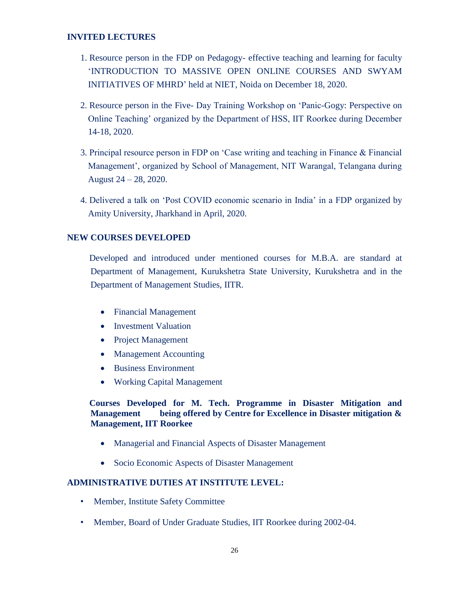# **INVITED LECTURES**

- 1. Resource person in the FDP on Pedagogy- effective teaching and learning for faculty 'INTRODUCTION TO MASSIVE OPEN ONLINE COURSES AND SWYAM INITIATIVES OF MHRD' held at NIET, Noida on December 18, 2020.
- 2. Resource person in the Five- Day Training Workshop on 'Panic-Gogy: Perspective on Online Teaching' organized by the Department of HSS, IIT Roorkee during December 14-18, 2020.
- 3. Principal resource person in FDP on 'Case writing and teaching in Finance & Financial Management', organized by School of Management, NIT Warangal, Telangana during August 24 – 28, 2020.
- 4. Delivered a talk on 'Post COVID economic scenario in India' in a FDP organized by Amity University, Jharkhand in April, 2020.

#### **NEW COURSES DEVELOPED**

 Developed and introduced under mentioned courses for M.B.A. are standard at Department of Management, Kurukshetra State University, Kurukshetra and in the Department of Management Studies, IITR.

- Financial Management
- Investment Valuation
- Project Management
- Management Accounting
- Business Environment
- Working Capital Management

# **Courses Developed for M. Tech. Programme in Disaster Mitigation and Management being offered by Centre for Excellence in Disaster mitigation & Management, IIT Roorkee**

- Managerial and Financial Aspects of Disaster Management
- Socio Economic Aspects of Disaster Management

#### **ADMINISTRATIVE DUTIES AT INSTITUTE LEVEL:**

- Member, Institute Safety Committee
- Member, Board of Under Graduate Studies, IIT Roorkee during 2002-04.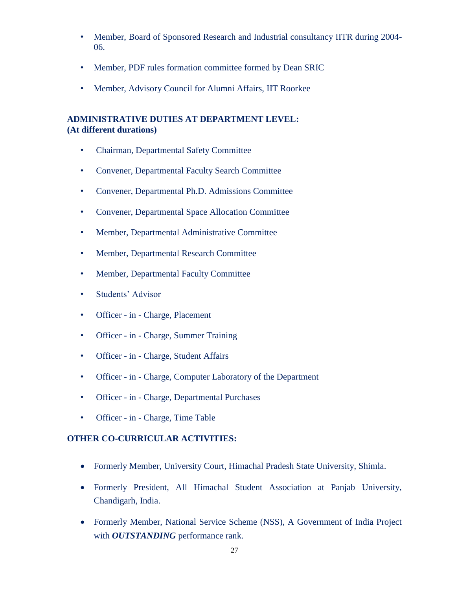- Member, Board of Sponsored Research and Industrial consultancy IITR during 2004- 06.
- Member, PDF rules formation committee formed by Dean SRIC
- Member, Advisory Council for Alumni Affairs, IIT Roorkee

# **ADMINISTRATIVE DUTIES AT DEPARTMENT LEVEL: (At different durations)**

- Chairman, Departmental Safety Committee
- Convener, Departmental Faculty Search Committee
- Convener, Departmental Ph.D. Admissions Committee
- Convener, Departmental Space Allocation Committee
- Member, Departmental Administrative Committee
- Member, Departmental Research Committee
- Member, Departmental Faculty Committee
- Students' Advisor
- Officer in Charge, Placement
- Officer in Charge, Summer Training
- Officer in Charge, Student Affairs
- Officer in Charge, Computer Laboratory of the Department
- Officer in Charge, Departmental Purchases
- Officer in Charge, Time Table

# **OTHER CO-CURRICULAR ACTIVITIES:**

- Formerly Member, University Court, Himachal Pradesh State University, Shimla.
- Formerly President, All Himachal Student Association at Panjab University, Chandigarh, India.
- Formerly Member, National Service Scheme (NSS), A Government of India Project with *OUTSTANDING* performance rank.